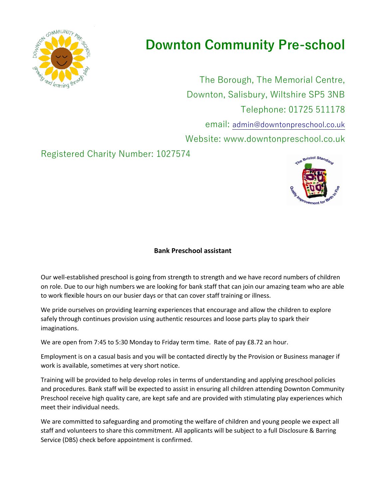

## **Downton Community Pre-school**

The Borough, The Memorial Centre, Downton, Salisbury, Wiltshire SP5 3NB Telephone: 01725 511178 email: [admin@downtonpreschool.co.uk](mailto:admin@downtonpreschool.co.uk) Website: www.downtonpreschool.co.uk

Registered Charity Number: 1027574



## **Bank Preschool assistant**

Our well-established preschool is going from strength to strength and we have record numbers of children on role. Due to our high numbers we are looking for bank staff that can join our amazing team who are able to work flexible hours on our busier days or that can cover staff training or illness.

We pride ourselves on providing learning experiences that encourage and allow the children to explore safely through continues provision using authentic resources and loose parts play to spark their imaginations.

We are open from 7:45 to 5:30 Monday to Friday term time. Rate of pay £8.72 an hour.

Employment is on a casual basis and you will be contacted directly by the Provision or Business manager if work is available, sometimes at very short notice.

Training will be provided to help develop roles in terms of understanding and applying preschool policies and procedures. Bank staff will be expected to assist in ensuring all children attending Downton Community Preschool receive high quality care, are kept safe and are provided with stimulating play experiences which meet their individual needs.

We are committed to safeguarding and promoting the welfare of children and young people we expect all staff and volunteers to share this commitment. All applicants will be subject to a full Disclosure & Barring Service (DBS) check before appointment is confirmed.